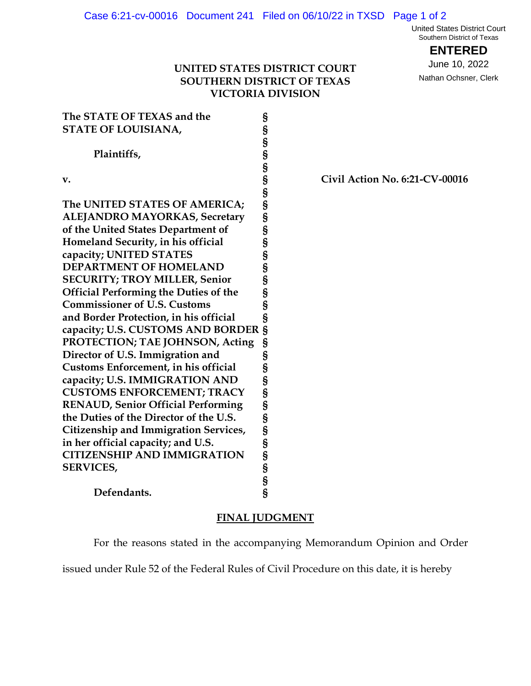United States District Court Southern District of Texas

**ENTERED**

June 10, 2022 Nathan Ochsner, Clerk

## **UNITED STATES DISTRICT COURT SOUTHERN DISTRICT OF TEXAS VICTORIA DIVISION**

| The STATE OF TEXAS and the                   | § |
|----------------------------------------------|---|
| <b>STATE OF LOUISIANA,</b>                   | § |
|                                              | § |
| Plaintiffs,                                  | S |
|                                              | S |
| v.                                           | S |
|                                              | Ś |
| The UNITED STATES OF AMERICA;                | § |
| <b>ALEJANDRO MAYORKAS, Secretary</b>         | § |
| of the United States Department of           | S |
| Homeland Security, in his official           | S |
| capacity; UNITED STATES                      | S |
| <b>DEPARTMENT OF HOMELAND</b>                | S |
| <b>SECURITY; TROY MILLER, Senior</b>         | § |
| <b>Official Performing the Duties of the</b> | S |
| <b>Commissioner of U.S. Customs</b>          | § |
| and Border Protection, in his official       | § |
| capacity; U.S. CUSTOMS AND BORDER            | § |
| PROTECTION; TAE JOHNSON, Acting              | § |
| Director of U.S. Immigration and             | S |
| Customs Enforcement, in his official         | § |
| capacity; U.S. IMMIGRATION AND               | § |
| <b>CUSTOMS ENFORCEMENT; TRACY</b>            | § |
| <b>RENAUD, Senior Official Performing</b>    | S |
| the Duties of the Director of the U.S.       | S |
| <b>Citizenship and Immigration Services,</b> | § |
| in her official capacity; and U.S.           | S |
| <b>CITIZENSHIP AND IMMIGRATION</b>           | S |
| <b>SERVICES,</b>                             | S |
|                                              | § |
| Defendants.                                  | § |

**v. § Civil Action No. 6:21-CV-00016**

## **FINAL JUDGMENT**

For the reasons stated in the accompanying Memorandum Opinion and Order

issued under Rule 52 of the Federal Rules of Civil Procedure on this date, it is hereby